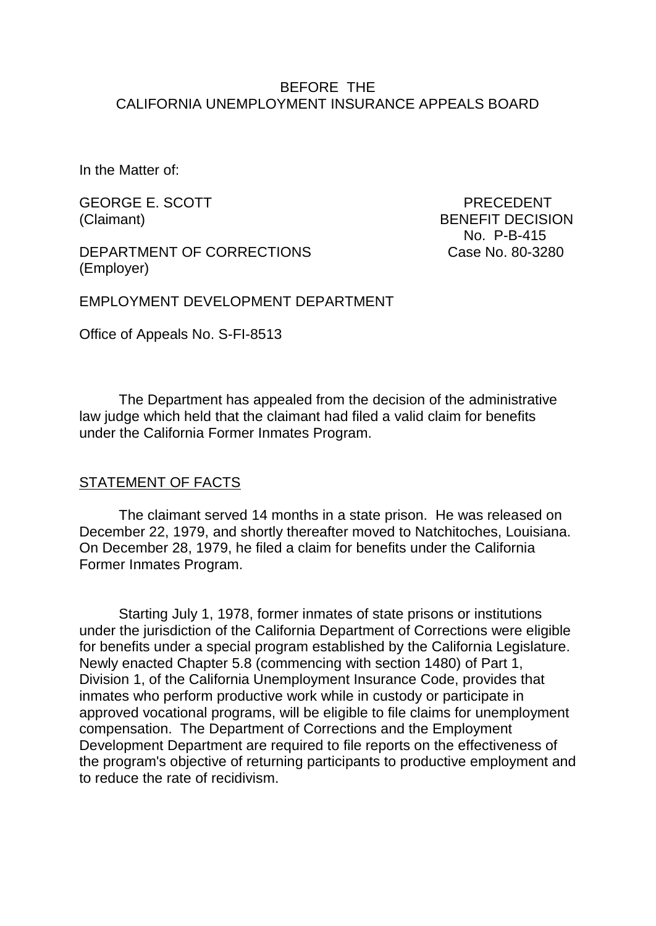#### BEFORE THE CALIFORNIA UNEMPLOYMENT INSURANCE APPEALS BOARD

In the Matter of:

GEORGE E. SCOTT PRECEDENT

DEPARTMENT OF CORRECTIONS Case No. 80-3280 (Employer)

(Claimant) BENEFIT DECISION No. P-B-415

EMPLOYMENT DEVELOPMENT DEPARTMENT

Office of Appeals No. S-FI-8513

The Department has appealed from the decision of the administrative law judge which held that the claimant had filed a valid claim for benefits under the California Former Inmates Program.

#### STATEMENT OF FACTS

The claimant served 14 months in a state prison. He was released on December 22, 1979, and shortly thereafter moved to Natchitoches, Louisiana. On December 28, 1979, he filed a claim for benefits under the California Former Inmates Program.

Starting July 1, 1978, former inmates of state prisons or institutions under the jurisdiction of the California Department of Corrections were eligible for benefits under a special program established by the California Legislature. Newly enacted Chapter 5.8 (commencing with section 1480) of Part 1, Division 1, of the California Unemployment Insurance Code, provides that inmates who perform productive work while in custody or participate in approved vocational programs, will be eligible to file claims for unemployment compensation. The Department of Corrections and the Employment Development Department are required to file reports on the effectiveness of the program's objective of returning participants to productive employment and to reduce the rate of recidivism.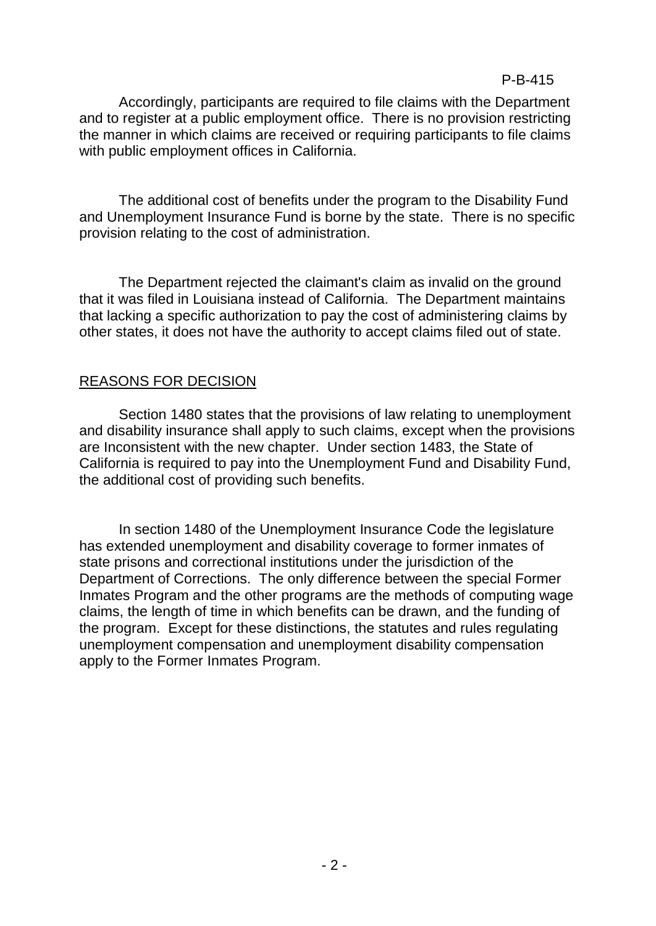## P-B-415

Accordingly, participants are required to file claims with the Department and to register at a public employment office. There is no provision restricting the manner in which claims are received or requiring participants to file claims with public employment offices in California.

The additional cost of benefits under the program to the Disability Fund and Unemployment Insurance Fund is borne by the state. There is no specific provision relating to the cost of administration.

The Department rejected the claimant's claim as invalid on the ground that it was filed in Louisiana instead of California. The Department maintains that lacking a specific authorization to pay the cost of administering claims by other states, it does not have the authority to accept claims filed out of state.

## REASONS FOR DECISION

Section 1480 states that the provisions of law relating to unemployment and disability insurance shall apply to such claims, except when the provisions are Inconsistent with the new chapter. Under section 1483, the State of California is required to pay into the Unemployment Fund and Disability Fund, the additional cost of providing such benefits.

In section 1480 of the Unemployment Insurance Code the legislature has extended unemployment and disability coverage to former inmates of state prisons and correctional institutions under the jurisdiction of the Department of Corrections. The only difference between the special Former Inmates Program and the other programs are the methods of computing wage claims, the length of time in which benefits can be drawn, and the funding of the program. Except for these distinctions, the statutes and rules regulating unemployment compensation and unemployment disability compensation apply to the Former Inmates Program.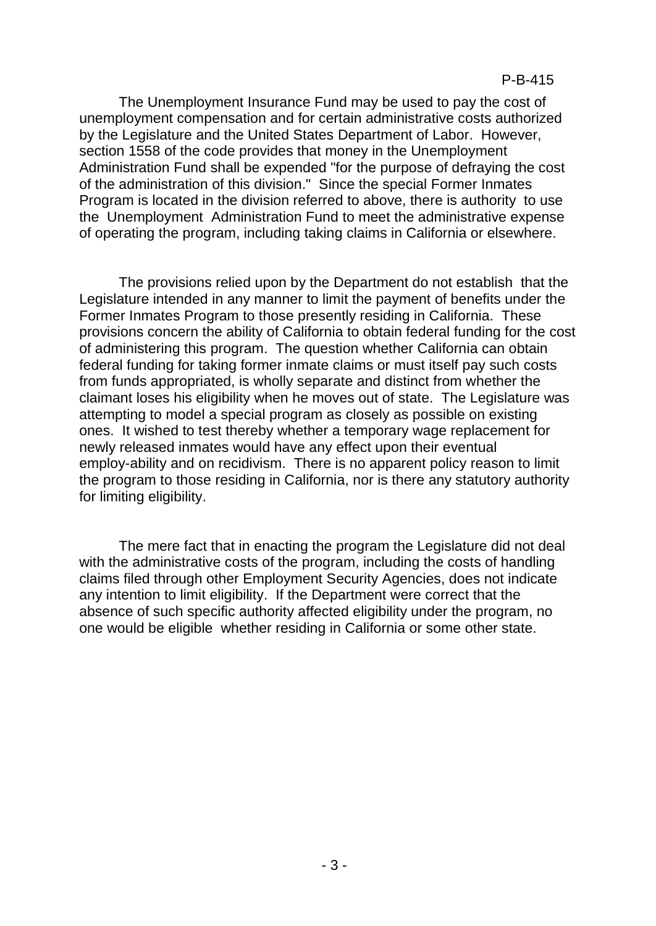The Unemployment Insurance Fund may be used to pay the cost of unemployment compensation and for certain administrative costs authorized by the Legislature and the United States Department of Labor. However, section 1558 of the code provides that money in the Unemployment Administration Fund shall be expended "for the purpose of defraying the cost of the administration of this division." Since the special Former Inmates Program is located in the division referred to above, there is authority to use the Unemployment Administration Fund to meet the administrative expense of operating the program, including taking claims in California or elsewhere.

The provisions relied upon by the Department do not establish that the Legislature intended in any manner to limit the payment of benefits under the Former Inmates Program to those presently residing in California. These provisions concern the ability of California to obtain federal funding for the cost of administering this program. The question whether California can obtain federal funding for taking former inmate claims or must itself pay such costs from funds appropriated, is wholly separate and distinct from whether the claimant loses his eligibility when he moves out of state. The Legislature was attempting to model a special program as closely as possible on existing ones. It wished to test thereby whether a temporary wage replacement for newly released inmates would have any effect upon their eventual employ-ability and on recidivism. There is no apparent policy reason to limit the program to those residing in California, nor is there any statutory authority for limiting eligibility.

The mere fact that in enacting the program the Legislature did not deal with the administrative costs of the program, including the costs of handling claims filed through other Employment Security Agencies, does not indicate any intention to limit eligibility. If the Department were correct that the absence of such specific authority affected eligibility under the program, no one would be eligible whether residing in California or some other state.